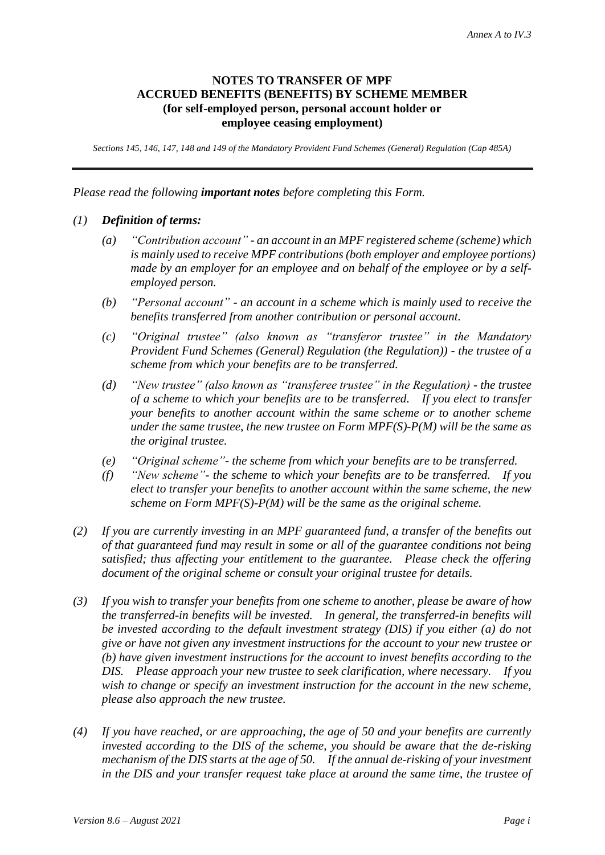### **NOTES TO TRANSFER OF MPF ACCRUED BENEFITS (BENEFITS) BY SCHEME MEMBER (for self-employed person, personal account holder or employee ceasing employment)**

*Sections 145, 146, 147, 148 and 149 of the Mandatory Provident Fund Schemes (General) Regulation (Cap 485A)*

*Please read the following important notes before completing this Form.*

### *(1) Definition of terms:*

- *(a) "Contribution account" - an account in an MPF registered scheme (scheme) which is mainly used to receive MPF contributions (both employer and employee portions) made by an employer for an employee and on behalf of the employee or by a selfemployed person.*
- *(b) "Personal account" - an account in a scheme which is mainly used to receive the benefits transferred from another contribution or personal account.*
- *(c) "Original trustee" (also known as "transferor trustee" in the Mandatory Provident Fund Schemes (General) Regulation (the Regulation)) - the trustee of a scheme from which your benefits are to be transferred.*
- *(d) "New trustee" (also known as "transferee trustee" in the Regulation) - the trustee of a scheme to which your benefits are to be transferred. If you elect to transfer your benefits to another account within the same scheme or to another scheme under the same trustee, the new trustee on Form MPF(S)-P(M) will be the same as the original trustee.*
- *(e) "Original scheme"- the scheme from which your benefits are to be transferred.*
- *(f) "New scheme"- the scheme to which your benefits are to be transferred. If you elect to transfer your benefits to another account within the same scheme, the new scheme on Form MPF(S)-P(M) will be the same as the original scheme.*
- *(2) If you are currently investing in an MPF guaranteed fund, a transfer of the benefits out of that guaranteed fund may result in some or all of the guarantee conditions not being satisfied; thus affecting your entitlement to the guarantee. Please check the offering document of the original scheme or consult your original trustee for details.*
- *(3) If you wish to transfer your benefits from one scheme to another, please be aware of how the transferred-in benefits will be invested. In general, the transferred-in benefits will be invested according to the default investment strategy (DIS) if you either (a) do not give or have not given any investment instructions for the account to your new trustee or (b) have given investment instructions for the account to invest benefits according to the DIS. Please approach your new trustee to seek clarification, where necessary. If you wish to change or specify an investment instruction for the account in the new scheme, please also approach the new trustee.*
- *(4) If you have reached, or are approaching, the age of 50 and your benefits are currently invested according to the DIS of the scheme, you should be aware that the de-risking mechanism of the DIS starts at the age of 50. If the annual de-risking of your investment in the DIS and your transfer request take place at around the same time, the trustee of*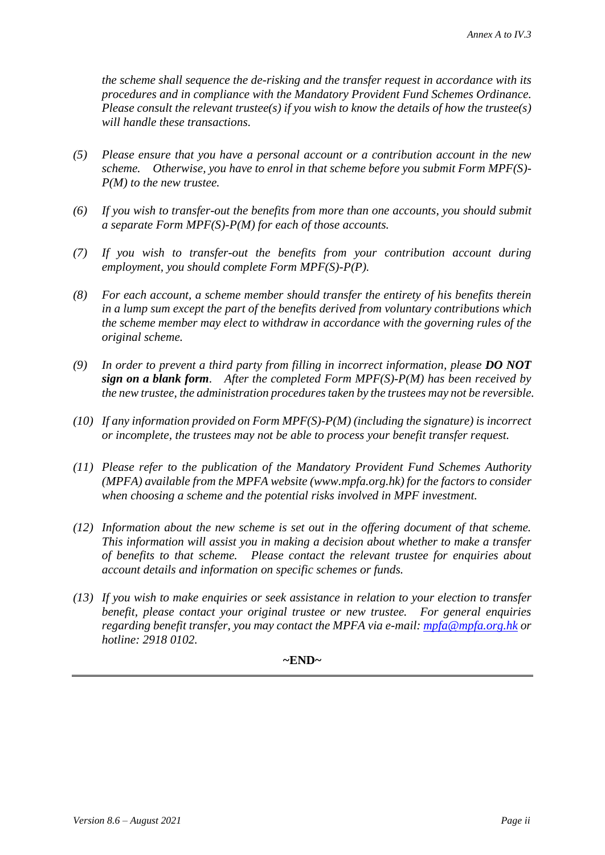*the scheme shall sequence the de-risking and the transfer request in accordance with its procedures and in compliance with the Mandatory Provident Fund Schemes Ordinance. Please consult the relevant trustee(s) if you wish to know the details of how the trustee(s) will handle these transactions.*

- *(5) Please ensure that you have a personal account or a contribution account in the new scheme. Otherwise, you have to enrol in that scheme before you submit Form MPF(S)- P(M) to the new trustee.*
- *(6) If you wish to transfer-out the benefits from more than one accounts, you should submit a separate Form MPF(S)-P(M) for each of those accounts.*
- *(7) If you wish to transfer-out the benefits from your contribution account during employment, you should complete Form MPF(S)-P(P).*
- *(8) For each account, a scheme member should transfer the entirety of his benefits therein in a lump sum except the part of the benefits derived from voluntary contributions which the scheme member may elect to withdraw in accordance with the governing rules of the original scheme.*
- *(9) In order to prevent a third party from filling in incorrect information, please DO NOT sign on a blank form. After the completed Form MPF(S)-P(M) has been received by the new trustee, the administration procedures taken by the trustees may not be reversible.*
- *(10) If any information provided on Form MPF(S)-P(M) (including the signature) is incorrect or incomplete, the trustees may not be able to process your benefit transfer request.*
- *(11) Please refer to the publication of the Mandatory Provident Fund Schemes Authority (MPFA) available from the MPFA website (www.mpfa.org.hk) for the factors to consider when choosing a scheme and the potential risks involved in MPF investment.*
- *(12) Information about the new scheme is set out in the offering document of that scheme. This information will assist you in making a decision about whether to make a transfer of benefits to that scheme. Please contact the relevant trustee for enquiries about account details and information on specific schemes or funds.*
- *(13) If you wish to make enquiries or seek assistance in relation to your election to transfer benefit, please contact your original trustee or new trustee. For general enquiries regarding benefit transfer, you may contact the MPFA via e-mail: [mpfa@mpfa.org.hk](mailto:mpfa@mpfa.org.hk) or hotline: 2918 0102.*

### **~END~**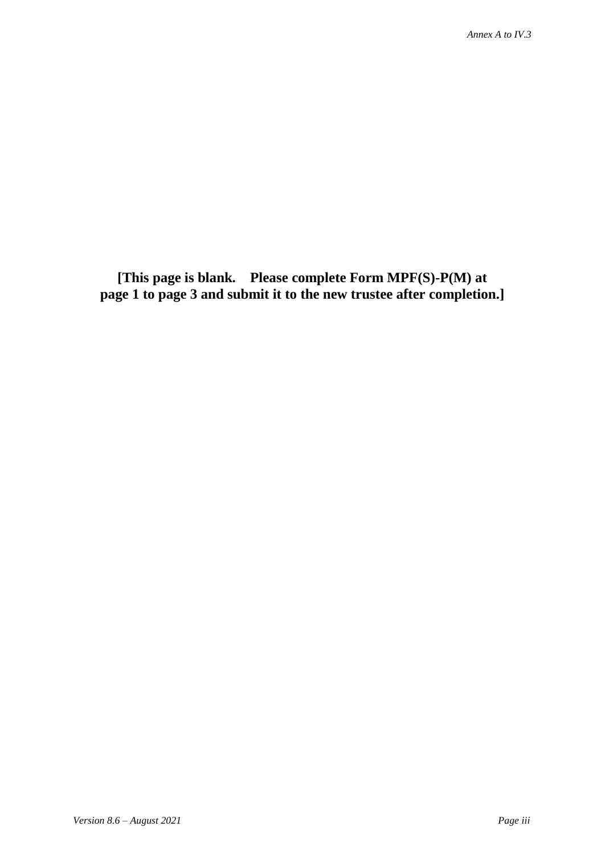**[This page is blank. Please complete Form MPF(S)-P(M) at page 1 to page 3 and submit it to the new trustee after completion.]**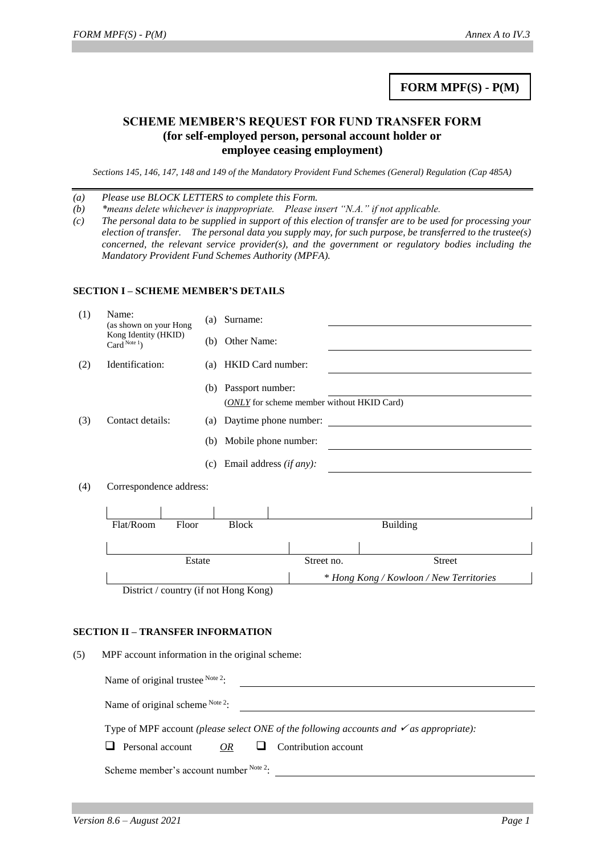## **FORM MPF(S) - P(M)**

### **SCHEME MEMBER'S REQUEST FOR FUND TRANSFER FORM (for self-employed person, personal account holder or employee ceasing employment)**

*Sections 145, 146, 147, 148 and 149 of the Mandatory Provident Fund Schemes (General) Regulation (Cap 485A)*

*(a) Please use BLOCK LETTERS to complete this Form.*

*(b) \*means delete whichever is inappropriate. Please insert "N.A." if not applicable.*

*(c) The personal data to be supplied in support of this election of transfer are to be used for processing your election of transfer. The personal data you supply may, for such purpose, be transferred to the trustee(s) concerned, the relevant service provider(s), and the government or regulatory bodies including the Mandatory Provident Fund Schemes Authority (MPFA).*

#### **SECTION I – SCHEME MEMBER'S DETAILS**

| (1) | Name:<br>(as shown on your Hong        |       | (a) | Surname:                                   |  |                                         |                 |               |  |
|-----|----------------------------------------|-------|-----|--------------------------------------------|--|-----------------------------------------|-----------------|---------------|--|
|     | Kong Identity (HKID)<br>Card $Note1$ ) |       |     | Other Name:<br>(b)                         |  |                                         |                 |               |  |
| (2) | Identification:<br>(a)                 |       |     | HKID Card number:                          |  |                                         |                 |               |  |
|     |                                        |       | (b) | Passport number:                           |  |                                         |                 |               |  |
|     |                                        |       |     | (ONLY for scheme member without HKID Card) |  |                                         |                 |               |  |
| (3) | Contact details:                       |       |     | Daytime phone number:                      |  |                                         |                 |               |  |
|     |                                        |       |     | Mobile phone number:<br>(b)                |  |                                         |                 |               |  |
|     |                                        |       | (c) | Email address (if any):                    |  |                                         |                 |               |  |
| (4) | Correspondence address:                |       |     |                                            |  |                                         |                 |               |  |
|     |                                        |       |     |                                            |  |                                         |                 |               |  |
|     |                                        |       |     |                                            |  |                                         |                 |               |  |
|     | Flat/Room                              | Floor |     | <b>Block</b>                               |  |                                         | <b>Building</b> |               |  |
|     |                                        |       |     |                                            |  |                                         |                 |               |  |
|     | Estate                                 |       |     |                                            |  | Street no.                              |                 | <b>Street</b> |  |
|     |                                        |       |     |                                            |  | * Hong Kong / Kowloon / New Territories |                 |               |  |
|     |                                        |       |     | District / country (if not Hong Kong)      |  |                                         |                 |               |  |

#### **SECTION II – TRANSFER INFORMATION**

(5) MPF account information in the original scheme:

| Name of original scheme $Note 2$ .                                                                 |  |  |  |  |
|----------------------------------------------------------------------------------------------------|--|--|--|--|
| Type of MPF account (please select ONE of the following accounts and $\checkmark$ as appropriate): |  |  |  |  |

 $\Box$  Personal account *OR*  $\Box$  Contribution account

Scheme member's account number Note 2: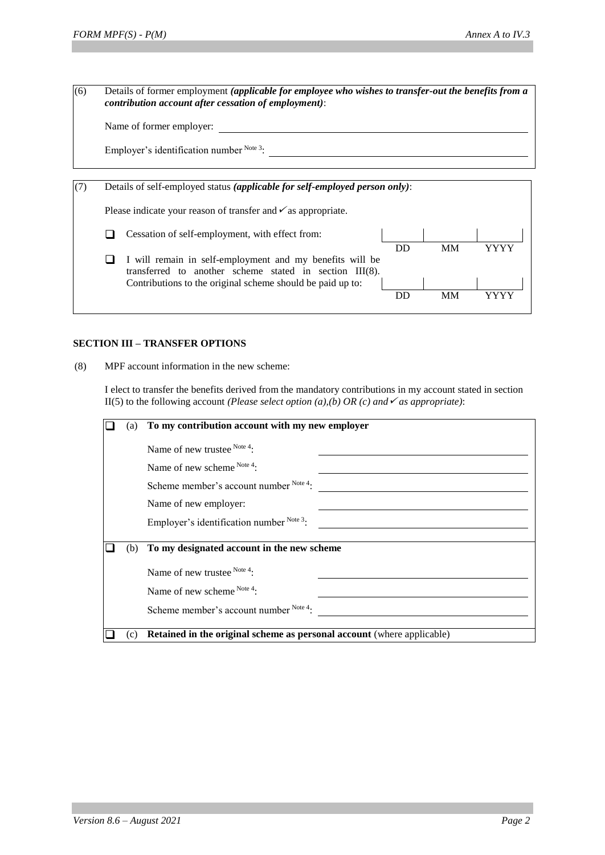(6) Details of former employment *(applicable for employee who wishes to transfer-out the benefits from a contribution account after cessation of employment)*:

| Name of former employer: |  |
|--------------------------|--|
|--------------------------|--|

Employer's identification number Note 3:

| Details of self-employed status (applicable for self-employed person only): |                                                                                                                                                                                   |    |    |      |  |
|-----------------------------------------------------------------------------|-----------------------------------------------------------------------------------------------------------------------------------------------------------------------------------|----|----|------|--|
|                                                                             | Please indicate your reason of transfer and $\checkmark$ as appropriate.                                                                                                          |    |    |      |  |
|                                                                             | Cessation of self-employment, with effect from:                                                                                                                                   |    |    |      |  |
|                                                                             | I will remain in self-employment and my benefits will be<br>transferred to another scheme stated in section III(8).<br>Contributions to the original scheme should be paid up to: | DD | MM | YYYY |  |
|                                                                             |                                                                                                                                                                                   | DD | MM |      |  |

### **SECTION III – TRANSFER OPTIONS**

(8) MPF account information in the new scheme:

I elect to transfer the benefits derived from the mandatory contributions in my account stated in section II(5) to the following account *(Please select option (a),(b) OR (c) and*  $\checkmark$  *as appropriate)*:

| (a) | To my contribution account with my new employer                        |
|-----|------------------------------------------------------------------------|
|     | Name of new trustee Note 4:                                            |
|     | Name of new scheme Note 4:                                             |
|     | Scheme member's account number Note 4:                                 |
|     | Name of new employer:                                                  |
|     | Employer's identification number Note 3:                               |
| (b) | To my designated account in the new scheme                             |
|     | Name of new trustee $^{Note 4}$ :                                      |
|     | Name of new scheme Note 4:                                             |
|     | Scheme member's account number Note 4:                                 |
| (c) | Retained in the original scheme as personal account (where applicable) |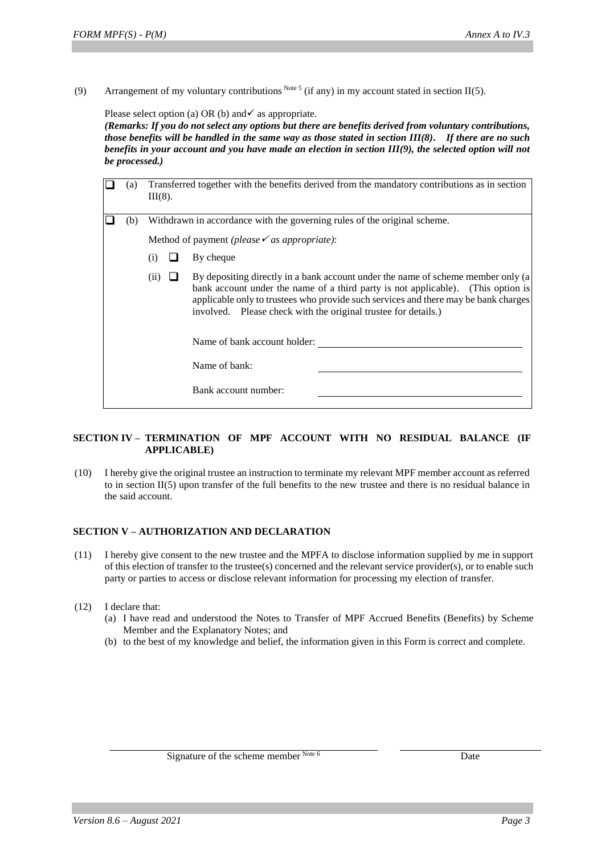(9) Arrangement of my voluntary contributions Note 5 (if any) in my account stated in section II(5).

Please select option (a) OR (b) and  $\checkmark$  as appropriate.

*(Remarks: If you do not select any options but there are benefits derived from voluntary contributions, those benefits will be handled in the same way as those stated in section III(8). If there are no such benefits in your account and you have made an election in section III(9), the selected option will not be processed.)*

| (a) | $III(8)$ .                                                               |  | Transferred together with the benefits derived from the mandatory contributions as in section                                                                                                                                                                                                                                                                                                           |
|-----|--------------------------------------------------------------------------|--|---------------------------------------------------------------------------------------------------------------------------------------------------------------------------------------------------------------------------------------------------------------------------------------------------------------------------------------------------------------------------------------------------------|
| (b) | Withdrawn in accordance with the governing rules of the original scheme. |  |                                                                                                                                                                                                                                                                                                                                                                                                         |
|     |                                                                          |  | Method of payment (please $\checkmark$ as appropriate):                                                                                                                                                                                                                                                                                                                                                 |
|     | (i)                                                                      |  | By cheque                                                                                                                                                                                                                                                                                                                                                                                               |
|     | (11)                                                                     |  | By depositing directly in a bank account under the name of scheme member only (a)<br>bank account under the name of a third party is not applicable). (This option is<br>applicable only to trustees who provide such services and there may be bank charges<br>involved. Please check with the original trustee for details.)<br>Name of bank account holder:<br>Name of bank:<br>Bank account number: |

#### **SECTION IV – TERMINATION OF MPF ACCOUNT WITH NO RESIDUAL BALANCE (IF APPLICABLE)**

(10) I hereby give the original trustee an instruction to terminate my relevant MPF member account as referred to in section II(5) upon transfer of the full benefits to the new trustee and there is no residual balance in the said account.

#### **SECTION V – AUTHORIZATION AND DECLARATION**

- (11) I hereby give consent to the new trustee and the MPFA to disclose information supplied by me in support of this election of transfer to the trustee(s) concerned and the relevant service provider(s), or to enable such party or parties to access or disclose relevant information for processing my election of transfer.
- (12) I declare that:
	- (a) I have read and understood the Notes to Transfer of MPF Accrued Benefits (Benefits) by Scheme Member and the Explanatory Notes; and
	- (b) to the best of my knowledge and belief, the information given in this Form is correct and complete.

Signature of the scheme member Note 6 Date